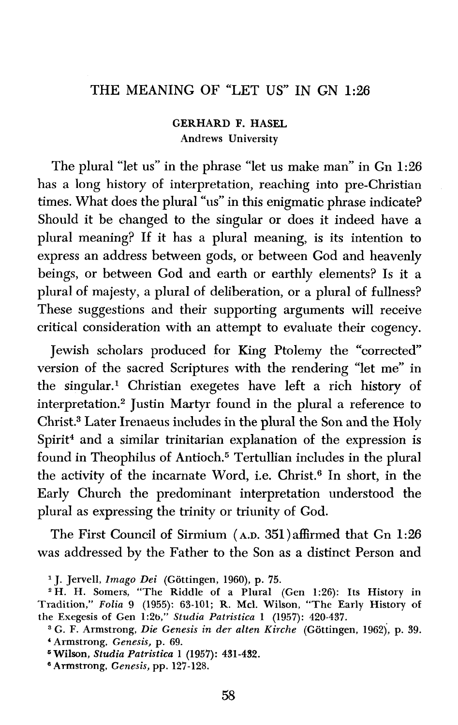# THE MEANING OF "LET US" IN GN **1:26**

**GERHARD F. HASEL Andrews University** 

The plural "let us" in the phrase "let us make man" in Gn **1:26**  has a long history of interpretation, reaching into pre-Christian times. What does the plural "us" in this enigmatic phrase indicate? Should it be changed to the singular or does it indeed have a plural meaning? If it has a plural meaning, is its intention to express an address between gods, or between God and heavenly beings, or between God and earth or earthly elements? Is it a plural of majesty, a plural of deliberation, or a plural of fullness? These suggestions and their supporting arguments will receive critical consideration with an attempt to evaluate their cogency.

Jewish scholars produced for King Ptolemy the "corrected version of the sacred Scriptures with the rendering "let me" in the singular.' Christian exegetes have left a rich history of interpretation.<sup>2</sup> Justin Martyr found in the plural a reference to Christ.<sup>3</sup> Later Irenaeus includes in the plural the Son and the Holy Spirit<sup>4</sup> and a similar trinitarian explanation of the expression is found in Theophilus of Antioch.<sup>5</sup> Tertullian includes in the plural the activity of the incarnate Word, i.e. Christ.<sup>6</sup> In short, in the Early Church the predominant interpretation understood the plural as expressing the trinity or triunity of God.

The First Council of Sirmium **(AD.** 351 )affirmed that Gn **1** :26 was addressed by the Father to the Son as a distinct Person and

**J. Jervell,** *Imago Dei* **(Gottingen, 1960), p. 75.** 

<sup>&</sup>lt;sup>2</sup> H. H. Somers, "The Riddle of a Plural (Gen 1:26): Its History in **Tradition,"** *Folia* **9 (1955): 63-101; R. Mcl. Wilson, "The Early History of the Exegesis of Gen 1:2b,"** *Studia Patristica* **1 (1957): 420-437.** 

**G. F. Armstrong,** *Die Genesis in der alten Kirche* **(Gottingen, 1962), p. 39. Armstrong,** *Genesis,* **p. 69.** 

**Wilson,** *Studia Patristica 1 (1957):* **431-432.** 

**Armstrong,** *Genesis,* **pp. 127-128.**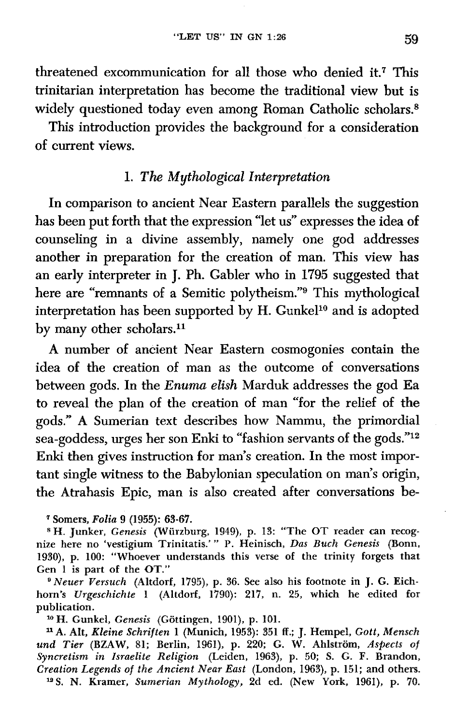threatened excommunication for all those who denied it.7 This trinitarian interpretation has become the traditional view but is widely questioned today even among Roman Catholic scholars.<sup>8</sup>

This introduction provides the background for a consideration of current views.

## 1. *The Mythological interpretation*

In comparison to ancient Near Eastern parallels the suggestion has been put forth that the expression "let us" expresses the idea of counseling in a divine assembly, namely one god addresses another in preparation for the creation of man. This view has an early interpreter in J. Ph. Gabler who in 1795 suggested that here are "remnants of a Semitic polytheism."<sup>9</sup> This mythological interpretation has been supported by H. Gunkel<sup>10</sup> and is adopted by many other scholars.<sup>11</sup>

A number of ancient Near Eastern cosmogonies contain the idea of the creation of man as the outcome of conversations between gods. In the **Enuma** *elish* Marduk addresses the god Ea to reveal the plan of the creation of man "for the relief of the gods." A Sumerian text describes how Nammu, the primordial sea-goddess, urges her son Enki to "fashion servants of the **gods."12 Enki** then gives instruction for man's creation. In the most important single witness to the Babylonian speculation on man's origin, the Atrahasis Epic, man is also created after conversations be-

**Somers,** *Folia* **9 (1955): 63-67.** 

**W. Junker,** *Genesis* **(Wiirzburg, 1949), p. 13: "The OT reader can recog-nize here no 'vestigium Trinitatis.'** " **P. Heinisch,** *Das Buch Genesis* **(Bonn, 1990),** *p.* **100: "Whoever understands this verse of the trinity forgets that Gen** 1 **is part of the OT."** 

*Neuer Versuch* **(Altdorf, 1795),** *p.* **36. See also his footnote in J.** *G.* **Eichhorn's** *Urgeschichte* **1 (Altdorf,** *1790):* **217, n. 25, which he edited for publication.** 

**H. Gunkel,** *Genesis* **(Gottingen, 1901), p. 101.** 

**llA. AIt** *Kleine Schriften* **1 (Munich, 1953): 351 ff.;** J. **Hempel, Gott,** *Mensch*  **und** *Tier (BZAW,* **81; Berlin, 196I), p. 220; G. W. Ahlstrom,** *Aspects of Syncretism in Israelite Religion* **(Leiden, I963), p. 50; S. G. F. Brandon, Creation** *Legends of the Ancient Near East* **(London, I963), p. 151; and others. "S. N. Krarner,** *Sumerian Mythology,* **2d** *ed.* **(New York, 196I), p. 70.**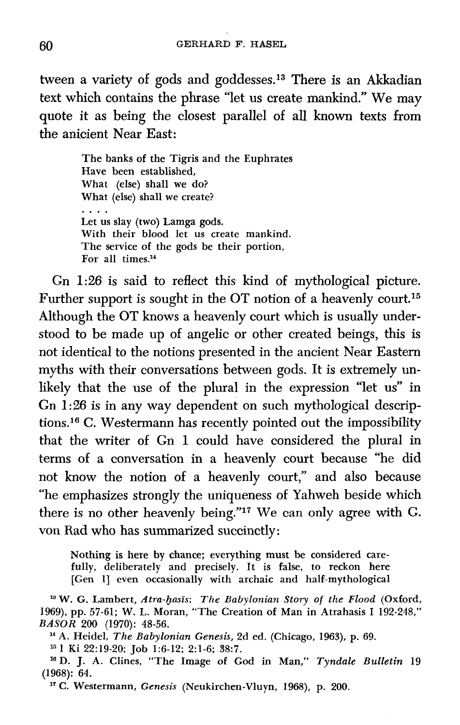tween a variety of gods and goddesses.<sup>13</sup> There is an Akkadian text which contains the phrase "let us create mankind." We may quote it as being the closest parallel of all known texts from the anicient Near East:

> The banks of the Tigris and the Euphrates Have been established, What (else) shall we do? What (else) shall we create? Let us slay (two) Lamga gods. With their blood let us create mankind. The service of the gods be their portion, For all times.<sup>14</sup>

Gn *1:26* is said to reflect this kind of mythological picture. Further support is sought in the OT notion of a heavenly court.15 Although the OT knows a heavenly court which is usually understood to be made up of angelic or other created beings, this is not identical to the notions presented in the ancient Near Eastern myths with their conversations between gods. It is extremely unlikely that the use of the plural in the expression "let us" in Gn 1:26 is in any way dependent on such mythological descriptions.16 **C.** Westermann has recently pointed out the impossibility that the writer of Gn *1* could have considered the plural in terms of a conversation in a heavenly court because "he did not know the notion of a heavenly court," and also because "he emphasizes strongly the uniqueness of Yahweh beside which there is no other heavenly being."<sup>17</sup> We can only agree with G. von Rad who has summarized succinctly:

Nothing is here by chance; everything must be considered carefully, deliberately and precisely. It is false, to reckon here [Gen 1] even occasionally with archaic and half-mythological

**<sup>13</sup>**W. G. Lambert, *Atra-basis: The Babylonian Story of the Flood* (Oxford, 1969), pp. 57-61; W. L. Moran, "The Creation of Man in Atrahasis I 192-248," *BASOR* **200** (1970): 48-56.

"A. Heidel, *The Babylonian Genesis,* 2d ed. (Chicago, 1963), p. 69.

1 Ki 22:19-20; Job 1:6-12; 2:l-6; **38:7.** 

D. J. A. Clines, "The Image of God in Man," *Tyndale Bulletin* 19 (1968): 64.

**l7** C. Westermann, *Genesis* (Neukirchen-Vluyn, 1968), p. 200.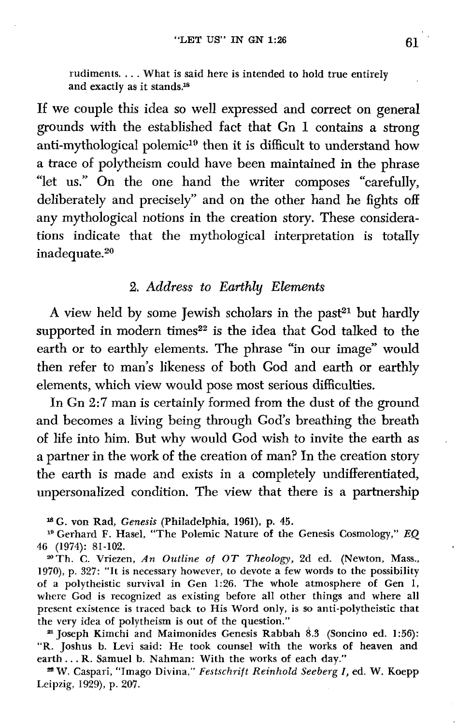rudiments. . . . What is said here is intended to hold true entirely and exactly as it stands.<sup>18</sup>

If we couple this idea so well expressed and correct on general grounds with the established fact that Gn 1 contains a strong anti-mythological polemic<sup>19</sup> then it is difficult to understand how a trace of polytheism could have been maintained in the phrase "let us." On the one hand the writer composes "carefully, deliberately and precisely" and on the other hand he fights off any mythological notions in the creation story. These considerations indicate that the mythological interpretation is totally inadequate.<sup>20</sup>

#### 2. Address to *Earthly Elements*

A view held by some Jewish scholars in the past<sup>21</sup> but hardly supported in modern times<sup>22</sup> is the idea that God talked to the earth or to earthly elements. The phrase "in our image" would then refer to man's likeness of both God and earth or earthly elements, which view would pose most serious difficulties.

In Gn 2:7 man is certainly formed from the dust of the ground and becomes a living being through God's breathing the breath of life into him. But why would God wish to invite the earth as , a partner in the work of the creation of man? In the creation story the earth is made and exists in a completely undifferentiated, unpersonalized condition. The view that there is a partnership

**Is** *G.* von Rad, Genesis (Philadelphia, **1961),** p. 45.

**le** Gerhard F. Hasel, "The Polemic Nature of the Genesis Cosmology," *EQ*  **46 (1974): 81-102.** 

**20Th.** *C.* Vriezen, *An Outline of OT Theology,* 2d ed. (Newton, Mass., **1970),** p. 327: "It is necessary however, to devote a few words to the possibility of a polytheistic survival in Gen 1:26. The whole atmosphere of Gen I, where God is recognized as existing before all other things and where all present existence is traced back to His Word only, is so anti-polytheistic that the very idea of polytheism is out of the question."

Joseph Kirnchi and Maimonides Genesis Rabbah **8.3** (Soncino ed. **156):**  "R. Joshus b. Levi said: He took counsel with the works of heaven and earth ... R. Samuel b. Nahman: With the works of each day."

W. Caspari, "Imago Divina," *Festschrift Reinhold Seeberg I, ed. W.* Koepp **Leipzig,** 1929), p. **207.**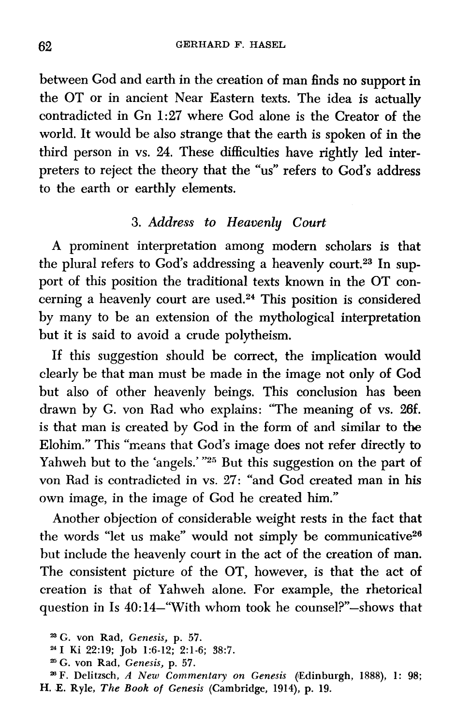between God and earth in the creation of man finds no support in the OT or in ancient Near Eastern texts. The idea is actually contradicted in Gn **1:27** where God alone is the Creator of the world. It would be also strange that the earth is spoken of in the third person in vs. **24.** These difficulties have rightly led interpreters to reject the theory that the "us" refers to God's address to the earth or earthly elements.

# *3. Address to Heavenly Court*

A prominent interpretation among modern scholars is that the plural refers to God's addressing a heavenly court.<sup>23</sup> In support of this position the traditional texts known in the OT concerning a heavenly court are used.24 This position is considered by many to be an extension of the mythological interpretation but it is said to avoid a crude polytheism.

If this suggestion should be correct, the implication would clearly be that man must be made in the image not only of God but also of other heavenly beings. This conclusion has been drawn by G. von Rad who explains: "The meaning of vs. 26f. is that man is created by God in the form of and similar to the Elohim." This "means that God's image does not refer directly to Yahweh but to the 'angels.' "25 But this suggestion on the part of von Rad is contradicted in vs. 27: "and God created man in his own image, in the image of God he created him."

Another objection of considerable weight rests in the fact that the words "let us make" would not simply be communicative<sup>26</sup> but include the heavenly court in the act of the creation of man. The consistent picture of the OT, however, is that the act of creation is that of Yahweh alone. For example, the rhetorical question in Is 40:14-"With whom took he counsel?"-shows that

**G. von Rad,** *Genesis,* **p. 57.** 

**<sup>24</sup>I Ki 22:19; Job 1:6-12; 2:l-6; 38:7.** 

*<sup>=</sup>G.* **von Rad,** *Genesis,* **p. 57.** 

**<sup>%</sup>F. Delitzsch,** *A New Commentary on Genesis* **(IEdinburgh, 1888), 1: 98; H. E. Ryle,** *The Book of Genesis* **(Cambridge, 1914), p. 19.**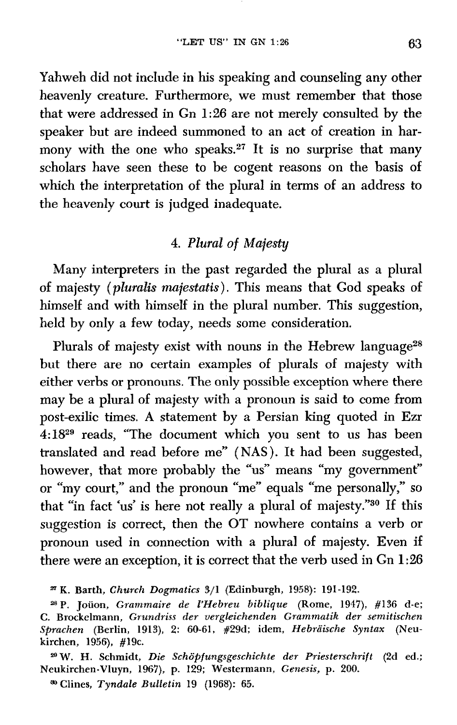Yahweh did not include in his speaking and counseling any other heavenly creature. Furthermore, we must remember that those that were addressed in Gn 1:26 are not merely consulted by the speaker but are indeed summoned to an act of creation in harmony with the one who speaks.<sup>27</sup> It is no surprise that many scholars have seen these to be cogent reasons on the basis of which the interpretation of the plural in terms of an address to the heavenly court is judged inadequate.

### **4.** *Plural* of *Majesty*

Many interpreters in the past regarded the plural as a plural of majesty *(pluralis majestatis).* This means that God speaks of himself and with himself in the plural number. This suggestion, held by only a few today, needs some consideration.

Plurals of majesty exist with nouns in the Hebrew language<sup>28</sup> but there are no certain examples of plurals of majesty with either verbs or pronouns. The only possible exception where there may be a plural of majesty with a pronoun is said to come from post-exilic times. A statement by a Persian king quoted in Ezr **4:1829** reads, "The document which you sent to us has been translated and read before me" ( NAS ). It had been suggested, however, that more probably the "us" means "my government" or "my court," and the pronoun "me" equals "me personally,'' so that "in fact 'us' is here not really a plural of majesty."30 If this suggestion is correct, then the OT nowhere contains a verb or pronoun used in connection with a plural of majesty. Even if there were an exception, it is correct that the verb used in Gn 1 **:26** 

**Clines,** *Tyndale Bulletin* **19** *(1968): 65.* 

**K. Barth,** *Church Dogmatics* **3/1 (Edinburgh, 1958): 191 -192.** 

**aB** *P.* **Joiion,** *Grammaire de I'Hebreu biblique (Rome,* **1947), #136 d-e; C. Brockelmann,** *Grundriss* **der** *vergkichenden Grammatik der semitischen*  **Sprachen (Berlin, lgl3), 2: 60-61, #29d; idem,** *Hebraische Syntax (Neu***kirchen, 1956), #19c.** 

**Zg W. H. Schmidt, Die** *Schopf ungsgeschichte* **der** *Priesterschrift* **(2d ed.; Neukirchen-Vluyn, 1967), p. 129; Westermann,** *Genesis,* **p. 200.**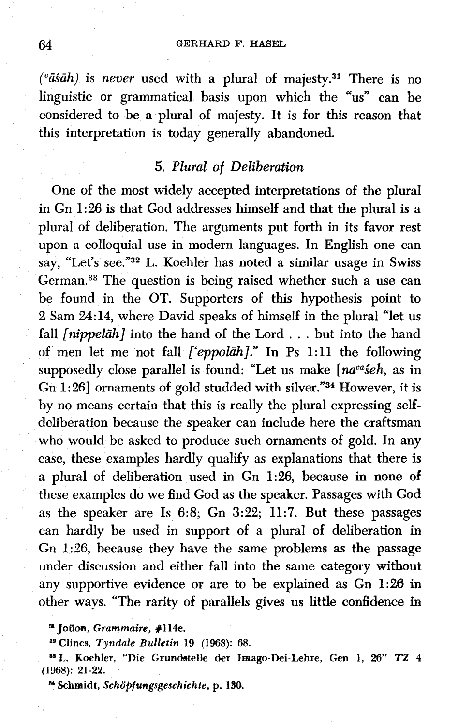*(%ah)* is *never* used with a plural of majesty.31 There is no linguistic or grammatical basis upon which the "us" can be considered to be a plural of majesty. It is for this reason that this interpretation is today generally abandoned.

#### *5. Plural of Deliberation*

One of the most widely accepted interpretations of the plural in Gn 1:26 is that God addresses himself and that the plural is a plural of deliberation. The arguments put forth in its favor rest upon a colloquial use in modern languages. In English one can say, "Let's see."<sup>32</sup> L. Koehler has noted a similar usage in Swiss German.33 The question is being raised whether such a use can be found in the OT. Supporters of this hypothesis point to **2** Sam 24:14, where David speaks of himself in the plural "let us fall *[nippelah]* into the hand of the Lord . . . but into the hand of men let me not fall *['eppokih]."* In Ps 1:11 the following supposedly close parallel is found: "Let us make [na<sup>ca</sup>seh, as in Gn 1:26] ornaments of gold studded with silver."34 However, it is by no means certain that this is really the plural expressing selfdeliberation because the speaker can include here the craftsman who would be asked to produce such ornaments of gold. In any case, these examples hardly qualify as explanations that there is a plural of deliberation used in Gn 1:26, because in none of these examples do we find God as the speaker. Passages with God as the speaker are Is 6:8; Gn **3:22;** 11:7. But these passages can hardly be used in support of a plural of deliberation in Gn 1:26, because they have the same problems as the passage under discussion and either fall into the same category without any supportive evidence or are to be explained as Gn 1:28 in other ways. "The **rarity** of parallels gives us little confidence in

**SL Joiioa, Grammaire, #1 l4e.** 

**Clines,** *Tyndale Bulletin* **19 (1968): 68.** 

**=L. Koehler, "Die Gruncktelle der Imago-Dei-Lehre, Gen 1, 26" TZ 4 (1968): 21-22.** 

**a Schmidt,** *Scho~ungsgeschichte,* **p.** *180.*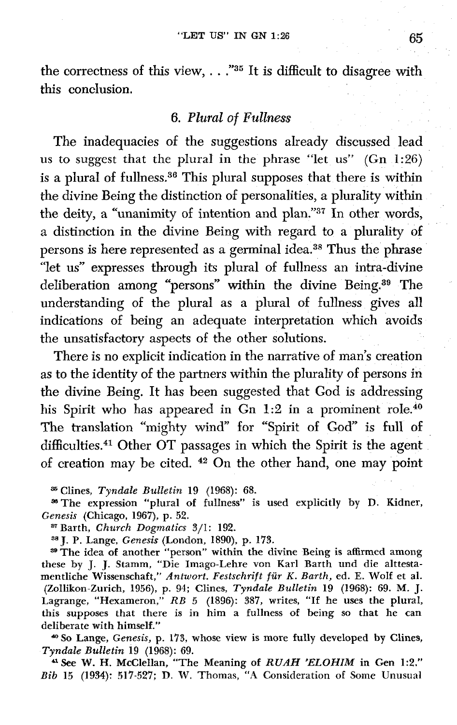the correctness of this view, . . . "35 It is difficult to disagree with **this** conclusion.

#### **6.** *Plural* of *Fullness*

The inadequacies of the suggestions already discussed lead us **to** suggest that the plural in **the** phrase "let us" (Gn **1** :26) is a plural of fullness.36 This plural supposes that there is within the divine Being the distinction of personalities, *a* plurality within the deity, a "unanimity of intention and plan."<sup>37</sup> In other words, a distinction in the divine Being with regard to a plurality of persons is here represented as a germinal idea.38 Thus the phrase "let us" expresses through its plural of fullness an intra-divine deliberation among "persons" within the divine Being.39 The understanding of the plural as a plural of fullness gives all indications of being an adequate interpretation which avoids the unsatisfactory aspects of the other solutions.

There is no explicit indication in the narrative of man's creation as to the identity of the partners within the plurality of persons in the divine Being. It has been suggested that God is addressing his Spirit who has appeared in Gn  $1:2$  in a prominent role.<sup>40</sup> The translation "mighty wind" for "Spirit of God" is full of difficulties.<sup>41</sup> Other OT passages in which the Spirit is the agent of creation may be cited. **42** On the other hand, one may point

Clines, Tyndale *Bulletin* 19 *(1968):* 68.

**=The** expression "plural of fuIIness" is used explicitly by D. Kidner, *Genesis* (Chicago, **1967),** p. 52.

**<sup>87</sup>**Barth, Church *Dogmatics* 3/I : 192.

**38j.** P. Lange, *Genesis* (London, **1890),** *p.* 173.

\*The idea of another "person" within the divine Being is **affirmed** among these by J. J. Stamm, "Die Imago-Lehre von Karl Barth und die alttestamentliche Wissenschaft," An twort. *Festschrift fur K. Barth,* ed. *E.* **WoIf** et al. (ZoIlikon-Zurich, **1956),** p. 94; Clines, *Tyndale* Bulletin 19 (1968): 69. M. J. Lagrange, "Hexameron," RB **5** (1896): **387, writes, "If** he uses the plural, this supposes that there is in him a fullness of being so that he can deliberate with himself."

*&So* Lange, *Genesis,* p. **175,** whose view is more fully developed by Clines, *Tyndde Bulletin* 19 *(1968): 69.* 

**a** See W. H. McCleHan, "The Meaning of RUAH *'ELOHIM* in **Gen** 1 **:2." Bib** 15 (1934): 517-527; **D. W.** Thomas, "A Consideration of Some Unusual